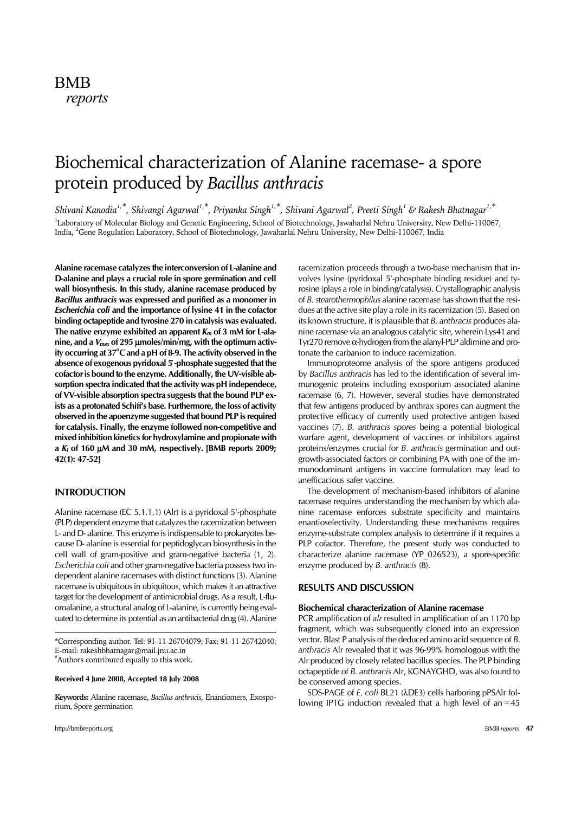# BMB *reports*

# Biochemical characterization of Alanine racemase- a spore protein produced by *Bacillus anthracis*

*Shivani Kanodia1,\*, Shivangi Agarwal1,\*, Priyanka Singh1,\*, Shivani Agarwal<sup>2</sup> , Preeti Singh<sup>1</sup> & Rakesh Bhatnagar1,\** <sup>1</sup>Laboratory of Molecular Biology and Genetic Engineering, School of Biotechnology, Jawaharlal Nehru University, New Delhi-110067, India, <sup>2</sup>Gene Regulation Laboratory, School of Biotechnology, Jawaharlal Nehru University, New Delhi-110067, India

**Alanine racemase catalyzes the interconversion of L-alanine and D-alanine and plays a crucial role in spore germination and cell wall biosynthesis. In this study, alanine racemase produced by**  *Bacillus anthracis* **was expressed and purified as a monomer in**  *Escherichia coli* **and the importance of lysine 41 in the cofactor binding octapeptide and tyrosine 270 in catalysis was evaluated. The native enzyme exhibited an apparent** *Km* **of 3 mM for L-alanine, and a** *Vmax* **of 295** µ**moles/min/mg, with the optimum activity occurring at 37<sup>o</sup> C and a pH of 8-9. The activity observed in the absence of exogenous pyridoxal 5** ́**-phosphate suggested that the cofactor is bound to the enzyme. Additionally, the UV-visible absorption spectra indicated that the activity was pH independece, of VV-visible absorption spectra suggests that the bound PLP exists as a protonated Schiff's base. Furthermore, the loss of activity observed in the apoenzyme suggested that bound PLP is required for catalysis. Finally, the enzyme followed non-competitive and mixed inhibition kinetics for hydroxylamine and propionate with a** *Ki* **of 160** µ**M and 30 mM, respectively. [BMB reports 2009; 42(1): 47-52]**

# **INTRODUCTION**

Alanine racemase (EC 5.1.1.1) (Alr) is a pyridoxal 5'-phosphate (PLP) dependent enzyme that catalyzes the racemization between L- and D- alanine. This enzyme is indispensable to prokaryotes because D- alanine is essential for peptidoglycan biosynthesis in the cell wall of gram-positive and gram-negative bacteria (1, 2). *Escherichia coli* and other gram-negative bacteria possess two independent alanine racemases with distinct functions (3). Alanine racemase is ubiquitous in ubiquitous, which makes it an attractive target for the development of antimicrobial drugs. As a result, L-fluoroalanine, a structural analog of L-alanine, is currently being evaluated to determine its potential as an antibacterial drug (4). Alanine

\*Corresponding author. Tel: 91-11-26704079; Fax: 91-11-26742040; E-mail: rakeshbhatnagar@mail.jnu.ac.in #Authors contributed equally to this work.

**Received 4 June 2008, Accepted 18 July 2008**

**Keywords:** Alanine racemase, *Bacillus anthracis*, Enantiomers, Exosporium, Spore germination

racemization proceeds through a two-base mechanism that involves lysine (pyridoxal 5'-phosphate binding residue) and tyrosine (plays a role in binding/catalysis). Crystallographic analysis of *B. stearothermophilus* alanine racemase has shown that the residues at the active site play a role in its racemization (5). Based on its known structure, it is plausible that *B. anthracis* produces alanine racemase via an analogous catalytic site, wherein Lys41 and Tyr270 remove α-hydrogen from the alanyl-PLP aldimine and protonate the carbanion to induce racemization.

 Immunoproteome analysis of the spore antigens produced by *Bacillus anthracis* has led to the identification of several immunogenic proteins including exosporium associated alanine racemase (6, 7). However, several studies have demonstrated that few antigens produced by anthrax spores can augment the protective efficacy of currently used protective antigen based vaccines (7). *B. anthracis spores* being a potential biological warfare agent, development of vaccines or inhibitors against proteins/enzymes crucial for *B. anthracis* germination and outgrowth-associated factors or combining PA with one of the immunodominant antigens in vaccine formulation may lead to anefficacious safer vaccine.

 The development of mechanism-based inhibitors of alanine racemase requires understanding the mechanism by which alanine racemase enforces substrate specificity and maintains enantioselectivity. Understanding these mechanisms requires enzyme-substrate complex analysis to determine if it requires a PLP cofactor. Therefore, the present study was conducted to characterize alanine racemase (YP\_026523), a spore-specific enzyme produced by *B. anthracis* (8).

#### **RESULTS AND DISCUSSION**

#### **Biochemical characterization of Alanine racemase**

PCR amplification of *alr* resulted in amplification of an 1170 bp fragment, which was subsequently cloned into an expression vector. Blast P analysis of the deduced amino acid sequence of *B. anthracis* Alr revealed that it was 96-99% homologous with the Alr produced by closely related bacillus species. The PLP binding octapeptide of *B. anthracis* Alr, KGNAYGHD, was also found to be conserved among species.

 SDS-PAGE of *E. coli* BL21 (λDE3) cells harboring pPSAlr following IPTG induction revealed that a high level of an≈45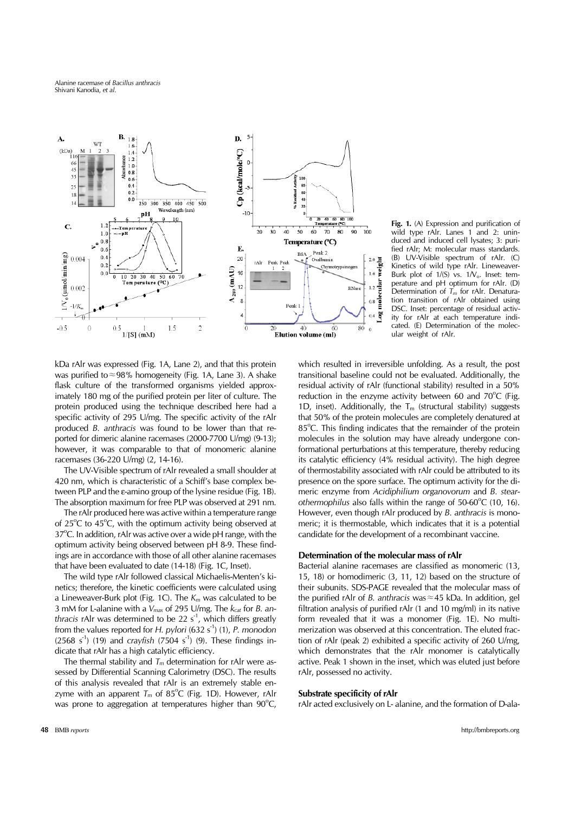Alanine racemase of *Bacillus anthracis* Shivani Kanodia, *et al.*



**Fig. 1.** (A) Expression and purification of wild type rAlr. Lanes 1 and 2: uninduced and induced cell lysates; 3: purified rAlr; M: molecular mass standards. (B) UV-Visible spectrum of rAlr. (C) Kinetics of wild type rAlr. Lineweaver-Burk plot of  $1/(S)$  vs.  $1/\sqrt{S}$ . Inset: temperature and pH optimum for rAlr. (D) Determination of *Tm* for rAlr. Denaturation transition of rAlr obtained using DSC. Inset: percentage of residual activity for rAlr at each temperature indicated. (E) Determination of the molecular weight of rAlr.

kDa rAlr was expressed (Fig. 1A, Lane 2), and that this protein was purified to≈98% homogeneity (Fig. 1A, Lane 3). A shake flask culture of the transformed organisms yielded approximately 180 mg of the purified protein per liter of culture. The protein produced using the technique described here had a specific activity of 295 U/mg. The specific activity of the rAlr produced *B. anthracis* was found to be lower than that reported for dimeric alanine racemases (2000-7700 U/mg) (9-13); however, it was comparable to that of monomeric alanine racemases (36-220 U/mg) (2, 14-16).

 The UV-Visible spectrum of rAlr revealed a small shoulder at 420 nm, which is characteristic of a Schiff's base complex between PLP and the ε-amino group of the lysine residue (Fig. 1B). The absorption maximum for free PLP was observed at 291 nm.

 The rAlr produced here was active within a temperature range of  $25^{\circ}$ C to  $45^{\circ}$ C, with the optimum activity being observed at 37°C. In addition, rAlr was active over a wide pH range, with the optimum activity being observed between pH 8-9. These findings are in accordance with those of all other alanine racemases that have been evaluated to date (14-18) (Fig. 1C, Inset).

 The wild type rAlr followed classical Michaelis-Menten's kinetics; therefore, the kinetic coefficients were calculated using a Lineweaver-Burk plot (Fig. 1C). The *Km* was calculated to be 3 mM for L-alanine with a *Vmax* of 295 U/mg. The *kcat* for *B. anthracis* rAlr was determined to be 22 s<sup>-1</sup>, which differs greatly from the values reported for *H. pylori* (632 s<sup>-1</sup>) (1), *P. monodon*  $(2568 \text{ s}^{-1})$  (19) and *crayfish* (7504 s<sup>-1</sup>) (9). These findings indicate that rAlr has a high catalytic efficiency.

The thermal stability and  $T_m$  determination for rAlr were assessed by Differential Scanning Calorimetry (DSC). The results of this analysis revealed that rAlr is an extremely stable enzyme with an apparent  $T_m$  of 85<sup>o</sup>C (Fig. 1D). However, rAlr was prone to aggregation at temperatures higher than  $90^{\circ}$ C, which resulted in irreversible unfolding. As a result, the post transitional baseline could not be evaluated. Additionally, the residual activity of rAlr (functional stability) resulted in a 50% reduction in the enzyme activity between 60 and  $70^{\circ}$ C (Fig. 1D, inset). Additionally, the  $T_m$  (structural stability) suggests that 50% of the protein molecules are completely denatured at 85°C. This finding indicates that the remainder of the protein molecules in the solution may have already undergone conformational perturbations at this temperature, thereby reducing its catalytic efficiency (4% residual activity). The high degree of thermostability associated with rAlr could be attributed to its presence on the spore surface. The optimum activity for the dimeric enzyme from *Acidiphilium organovorum* and *B. stear*othermophilus also falls within the range of 50-60°C (10, 16). However, even though rAlr produced by *B. anthracis* is monomeric; it is thermostable, which indicates that it is a potential candidate for the development of a recombinant vaccine.

# **Determination of the molecular mass of rAlr**

Bacterial alanine racemases are classified as monomeric (13, 15, 18) or homodimeric (3, 11, 12) based on the structure of their subunits. SDS-PAGE revealed that the molecular mass of the purified rAlr of *B. anthracis* was≈45 kDa. In addition, gel filtration analysis of purified rAlr (1 and 10 mg/ml) in its native form revealed that it was a monomer (Fig. 1E). No multimerization was observed at this concentration. The eluted fraction of rAlr (peak 2) exhibited a specific activity of 260 U/mg, which demonstrates that the rAlr monomer is catalytically active. Peak 1 shown in the inset, which was eluted just before rAlr, possessed no activity.

#### **Substrate specificity of rAlr**

rAlr acted exclusively on L- alanine, and the formation of D-ala-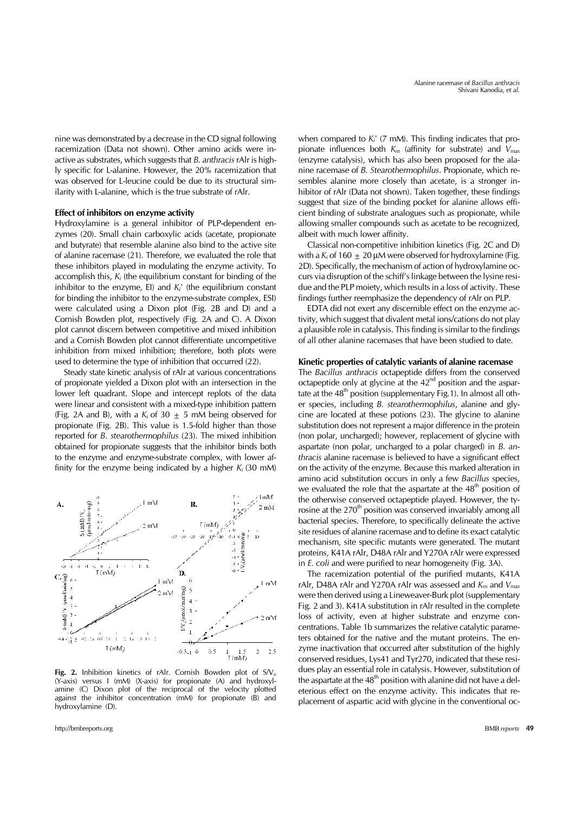nine was demonstrated by a decrease in the CD signal following racemization (Data not shown). Other amino acids were inactive as substrates, which suggests that *B. anthracis* rAlr is highly specific for L-alanine. However, the 20% racemization that was observed for L-leucine could be due to its structural similarity with L-alanine, which is the true substrate of rAlr.

#### **Effect of inhibitors on enzyme activity**

Hydroxylamine is a general inhibitor of PLP-dependent enzymes (20). Small chain carboxylic acids (acetate, propionate and butyrate) that resemble alanine also bind to the active site of alanine racemase (21). Therefore, we evaluated the role that these inhibitors played in modulating the enzyme activity. To accomplish this, *Ki* (the equilibrium constant for binding of the inhibitor to the enzyme, EI) and *Ki*' (the equilibrium constant for binding the inhibitor to the enzyme-substrate complex, ESI) were calculated using a Dixon plot (Fig. 2B and D) and a Cornish Bowden plot, respectively (Fig. 2A and C). A Dixon plot cannot discern between competitive and mixed inhibition and a Cornish Bowden plot cannot differentiate uncompetitive inhibition from mixed inhibition; therefore, both plots were used to determine the type of inhibition that occurred (22).

 Steady state kinetic analysis of rAlr at various concentrations of propionate yielded a Dixon plot with an intersection in the lower left quadrant. Slope and intercept replots of the data were linear and consistent with a mixed-type inhibition pattern (Fig. 2A and B), with a  $K_i$  of 30  $\pm$  5 mM being observed for propionate (Fig. 2B). This value is 1.5-fold higher than those reported for *B*. *stearothermophilus* (23). The mixed inhibition obtained for propionate suggests that the inhibitor binds both to the enzyme and enzyme-substrate complex, with lower affinity for the enzyme being indicated by a higher  $K_i$  (30 mM)



**Fig. 2.** Inhibition kinetics of rAlr. Cornish Bowden plot of S/V<sub>o</sub> (Y-axis) versus I (mM) (X-axis) for propionate (A) and hydroxylamine (C) Dixon plot of the reciprocal of the velocity plotted against the inhibitor concentration (mM) for propionate (B) and hydroxylamine (D).

http://bmbreports.org BMB *reports* 49

when compared to  $K_i'$  (7 mM). This finding indicates that propionate influences both *Km* (affinity for substrate) and *Vmax* (enzyme catalysis), which has also been proposed for the alanine racemase of *B. Stearothermophilus*. Propionate, which resembles alanine more closely than acetate, is a stronger inhibitor of rAlr (Data not shown). Taken together, these findings suggest that size of the binding pocket for alanine allows efficient binding of substrate analogues such as propionate, while allowing smaller compounds such as acetate to be recognized, albeit with much lower affinity.

 Classical non-competitive inhibition kinetics (Fig. 2C and D) with a  $K_i$  of 160  $+$  20  $\mu$ M were observed for hydroxylamine (Fig. 2D). Specifically, the mechanism of action of hydroxylamine occurs via disruption of the schiff's linkage between the lysine residue and the PLP moiety, which results in a loss of activity. These findings further reemphasize the dependency of rAlr on PLP.

 EDTA did not exert any discernible effect on the enzyme activity, which suggest that divalent metal ions/cations do not play a plausible role in catalysis. This finding is similar to the findings of all other alanine racemases that have been studied to date.

# **Kinetic properties of catalytic variants of alanine racemase**

The *Bacillus anthracis* octapeptide differs from the conserved octapeptide only at glycine at the  $42<sup>nd</sup>$  position and the aspartate at the  $48<sup>th</sup>$  position (supplementary Fig.1). In almost all other species, including *B. stearothermophilus*, alanine and glycine are located at these potions (23). The glycine to alanine substitution does not represent a major difference in the protein (non polar, uncharged); however, replacement of glycine with aspartate (non polar, uncharged to a polar charged) in *B. anthracis* alanine racemase is believed to have a significant effect on the activity of the enzyme. Because this marked alteration in amino acid substitution occurs in only a few *Bacillus* species, we evaluated the role that the aspartate at the  $48<sup>th</sup>$  position of the otherwise conserved octapeptide played. However, the tyrosine at the 270<sup>th</sup> position was conserved invariably among all bacterial species. Therefore, to specifically delineate the active site residues of alanine racemase and to define its exact catalytic mechanism, site specific mutants were generated. The mutant proteins, K41A rAlr, D48A rAlr and Y270A rAlr were expressed in *E. coli* and were purified to near homogeneity (Fig. 3A).

 The racemization potential of the purified mutants, K41A rAlr, D48A rAlr and Y270A rAlr was assessed and *Km* and *Vmax* were then derived using a Lineweaver-Burk plot (supplementary Fig. 2 and 3). K41A substitution in rAlr resulted in the complete loss of activity, even at higher substrate and enzyme concentrations. Table 1b summarizes the relative catalytic parameters obtained for the native and the mutant proteins. The enzyme inactivation that occurred after substitution of the highly conserved residues, Lys41 and Tyr270, indicated that these residues play an essential role in catalysis. However, substitution of the aspartate at the  $48<sup>th</sup>$  position with alanine did not have a deleterious effect on the enzyme activity. This indicates that replacement of aspartic acid with glycine in the conventional oc-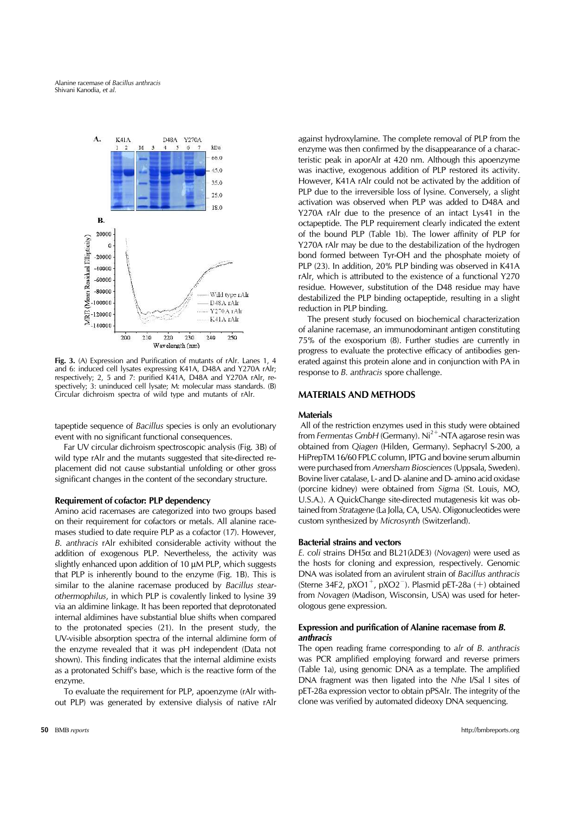

**Fig. 3.** (A) Expression and Purification of mutants of rAlr. Lanes 1, 4 and 6: induced cell lysates expressing K41A, D48A and Y270A rAlr; respectively; 2, 5 and 7: purified K41A, D48A and Y270A rAlr, respectively; 3: uninduced cell lysate; M: molecular mass standards. (B) Circular dichroism spectra of wild type and mutants of rAlr.

tapeptide sequence of *Bacillus* species is only an evolutionary event with no significant functional consequences.

 Far UV circular dichroism spectroscopic analysis (Fig. 3B) of wild type rAlr and the mutants suggested that site-directed replacement did not cause substantial unfolding or other gross significant changes in the content of the secondary structure.

#### **Requirement of cofactor: PLP dependency**

Amino acid racemases are categorized into two groups based on their requirement for cofactors or metals. All alanine racemases studied to date require PLP as a cofactor (17). However, *B. anthracis* rAlr exhibited considerable activity without the addition of exogenous PLP. Nevertheless, the activity was slightly enhanced upon addition of 10  $\mu$ M PLP, which suggests that PLP is inherently bound to the enzyme (Fig. 1B). This is similar to the alanine racemase produced by *Bacillus stearothermophilus*, in which PLP is covalently linked to lysine 39 via an aldimine linkage. It has been reported that deprotonated internal aldimines have substantial blue shifts when compared to the protonated species (21). In the present study, the UV-visible absorption spectra of the internal aldimine form of the enzyme revealed that it was pH independent (Data not shown). This finding indicates that the internal aldimine exists as a protonated Schiff's base, which is the reactive form of the enzyme.

 To evaluate the requirement for PLP, apoenzyme (rAlr without PLP) was generated by extensive dialysis of native rAlr against hydroxylamine. The complete removal of PLP from the enzyme was then confirmed by the disappearance of a characteristic peak in aporAlr at 420 nm. Although this apoenzyme was inactive, exogenous addition of PLP restored its activity. However, K41A rAlr could not be activated by the addition of PLP due to the irreversible loss of lysine. Conversely, a slight activation was observed when PLP was added to D48A and Y270A rAlr due to the presence of an intact Lys41 in the octapeptide. The PLP requirement clearly indicated the extent of the bound PLP (Table 1b). The lower affinity of PLP for Y270A rAlr may be due to the destabilization of the hydrogen bond formed between Tyr-OH and the phosphate moiety of PLP (23). In addition, 20% PLP binding was observed in K41A rAlr, which is attributed to the existence of a functional Y270 residue. However, substitution of the D48 residue may have destabilized the PLP binding octapeptide, resulting in a slight reduction in PLP binding.

 The present study focused on biochemical characterization of alanine racemase, an immunodominant antigen constituting 75% of the exosporium (8). Further studies are currently in progress to evaluate the protective efficacy of antibodies generated against this protein alone and in conjunction with PA in response to *B. anthracis* spore challenge.

# **MATERIALS AND METHODS**

# **Materials**

 All of the restriction enzymes used in this study were obtained from *Fermentas GmbH* (Germany). Ni<sup>2+</sup>-NTA agarose resin was obtained from *Qiagen* (Hilden, Germany). Sephacryl S-200, a HiPrepTM 16/60 FPLC column, IPTG and bovine serum albumin were purchased from *Amersham Biosciences* (Uppsala, Sweden). Bovine liver catalase, L- and D- alanine and D- amino acid oxidase (porcine kidney) were obtained from *Sigma* (St. Louis, MO, U.S.A.). A QuickChange site-directed mutagenesis kit was obtained from *Stratagene* (La Jolla, CA, USA). Oligonucleotides were custom synthesized by *Microsynth* (Switzerland).

# **Bacterial strains and vectors**

*E. coli* strains DH5α and BL21(λDE3) (*Novagen*) were used as the hosts for cloning and expression, respectively. Genomic DNA was isolated from an avirulent strain of *Bacillus anthracis* (Sterne 34F2, pXO1<sup>+</sup>, pXO2<sup>-</sup>). Plasmid pET-28a (+) obtained from *Novagen* (Madison, Wisconsin, USA) was used for heterologous gene expression.

# **Expression and purification of Alanine racemase from** *B. anthracis*

The open reading frame corresponding to *alr* of *B. anthracis*  was PCR amplified employing forward and reverse primers (Table 1a), using genomic DNA as a template. The amplified DNA fragment was then ligated into the *Nhe* I/Sal I sites of pET-28a expression vector to obtain pPSAlr. The integrity of the clone was verified by automated dideoxy DNA sequencing.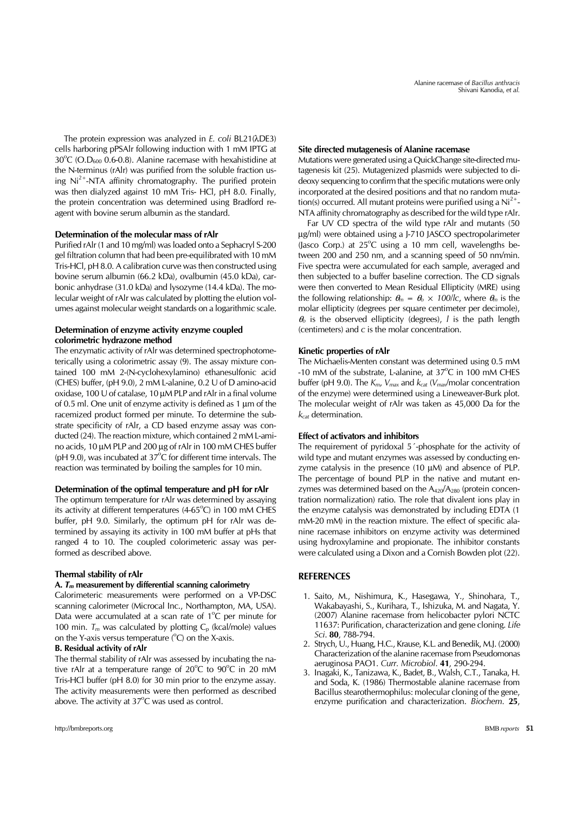The protein expression was analyzed in *E. coli* BL21(λDE3) cells harboring pPSAlr following induction with 1 mM IPTG at  $30^{\circ}$ C (O.D<sub>600</sub> 0.6-0.8). Alanine racemase with hexahistidine at the N-terminus (rAlr) was purified from the soluble fraction using  $Ni<sup>2+</sup>-NTA$  affinity chromatography. The purified protein was then dialyzed against 10 mM Tris- HCl, pH 8.0. Finally, the protein concentration was determined using Bradford reagent with bovine serum albumin as the standard.

# **Determination of the molecular mass of rAlr**

Purified rAlr (1 and 10 mg/ml) was loaded onto a Sephacryl S-200 gel filtration column that had been pre-equilibrated with 10 mM Tris-HCl, pH 8.0. A calibration curve was then constructed using bovine serum albumin (66.2 kDa), ovalbumin (45.0 kDa), carbonic anhydrase (31.0 kDa) and lysozyme (14.4 kDa). The molecular weight of rAlr was calculated by plotting the elution volumes against molecular weight standards on a logarithmic scale.

# **Determination of enzyme activity enzyme coupled colorimetric hydrazone method**

The enzymatic activity of rAlr was determined spectrophotometerically using a colorimetric assay (9). The assay mixture contained 100 mM 2-(N-cyclohexylamino) ethanesulfonic acid (CHES) buffer, (pH 9.0), 2 mM L-alanine, 0.2 U of D amino-acid oxidase, 100 U of catalase, 10 µM PLP and rAlr in a final volume of 0.5 ml. One unit of enzyme activity is defined as 1 µm of the racemized product formed per minute. To determine the substrate specificity of rAlr, a CD based enzyme assay was conducted (24). The reaction mixture, which contained 2 mM L-amino acids, 10 µM PLP and 200 µg of rAlr in 100 mM CHES buffer ( $pH$  9.0), was incubated at  $37^{\circ}$ C for different time intervals. The reaction was terminated by boiling the samples for 10 min.

# **Determination of the optimal temperature and pH for rAlr**

The optimum temperature for rAlr was determined by assaying its activity at different temperatures  $(4-65^{\circ}C)$  in 100 mM CHES buffer, pH 9.0. Similarly, the optimum pH for rAlr was determined by assaying its activity in 100 mM buffer at pHs that ranged 4 to 10. The coupled colorimeteric assay was performed as described above.

### **Thermal stability of rAlr**

#### **A.** *Tm* **measurement by differential scanning calorimetry**

Calorimeteric measurements were performed on a VP-DSC scanning calorimeter (Microcal Inc., Northampton, MA, USA). Data were accumulated at a scan rate of  $1^{\circ}$ C per minute for 100 min.  $T_m$  was calculated by plotting  $C_p$  (kcal/mole) values on the Y-axis versus temperature  $(^{\circ}C)$  on the X-axis.

# **B. Residual activity of rAlr**

The thermal stability of rAlr was assessed by incubating the native rAlr at a temperature range of  $20^{\circ}$ C to  $90^{\circ}$ C in 20 mM Tris-HCl buffer (pH 8.0) for 30 min prior to the enzyme assay. The activity measurements were then performed as described above. The activity at  $37^{\circ}$ C was used as control.

### **Site directed mutagenesis of Alanine racemase**

Mutations were generated using a QuickChange site-directed mutagenesis kit (25). Mutagenized plasmids were subjected to dideoxy sequencing to confirm that the specific mutations were only incorporated at the desired positions and that no random mutation(s) occurred. All mutant proteins were purified using a  $Ni<sup>2+</sup>$ -NTA affinity chromatography as described for the wild type rAlr.

 Far UV CD spectra of the wild type rAlr and mutants (50 µg/ml) were obtained using a J-710 JASCO spectropolarimeter (Jasco Corp.) at  $25^{\circ}$ C using a 10 mm cell, wavelengths between 200 and 250 nm, and a scanning speed of 50 nm/min. Five spectra were accumulated for each sample, averaged and then subjected to a buffer baseline correction. The CD signals were then converted to Mean Residual Ellipticity (MRE) using the following relationship:  $\theta_m = \theta_0 \times 100$ /lc, where  $\theta_m$  is the molar ellipticity (degrees per square centimeter per decimole), <sup>θ</sup>*o* is the observed ellipticity (degrees), *l* is the path length (centimeters) and *c* is the molar concentration.

#### **Kinetic properties of rAlr**

The Michaelis-Menten constant was determined using 0.5 mM -10 mM of the substrate, L-alanine, at  $37^{\circ}$ C in 100 mM CHES buffer (pH 9.0). The *Km*, *Vmax* and *kcat* (*Vmax*/molar concentration of the enzyme) were determined using a Lineweaver-Burk plot. The molecular weight of rAlr was taken as 45,000 Da for the *kcat* determination.

### **Effect of activators and inhibitors**

The requirement of pyridoxal 5´-phosphate for the activity of wild type and mutant enzymes was assessed by conducting enzyme catalysis in the presence (10 µM) and absence of PLP. The percentage of bound PLP in the native and mutant enzymes was determined based on the  $A_{420}/A_{280}$  (protein concentration normalization) ratio. The role that divalent ions play in the enzyme catalysis was demonstrated by including EDTA (1 mM-20 mM) in the reaction mixture. The effect of specific alanine racemase inhibitors on enzyme activity was determined using hydroxylamine and propionate. The inhibitor constants were calculated using a Dixon and a Cornish Bowden plot (22).

# **REFERENCES**

- 1. Saito, M., Nishimura, K., Hasegawa, Y., Shinohara, T., Wakabayashi, S., Kurihara, T., Ishizuka, M. and Nagata, Y. (2007) Alanine racemase from helicobacter pylori NCTC 11637: Purification, characterization and gene cloning. *Life Sci*. **80**, 788-794.
- 2. Strych, U., Huang, H.C., Krause, K.L. and Benedik, M.J. (2000) Characterization of the alanine racemase from Pseudomonas aeruginosa PAO1. *Curr. Microbiol*. **41**, 290-294.
- 3. Inagaki, K., Tanizawa, K., Badet, B., Walsh, C.T., Tanaka, H. and Soda, K. (1986) Thermostable alanine racemase from Bacillus stearothermophilus: molecular cloning of the gene, enzyme purification and characterization. *Biochem*. **25**,